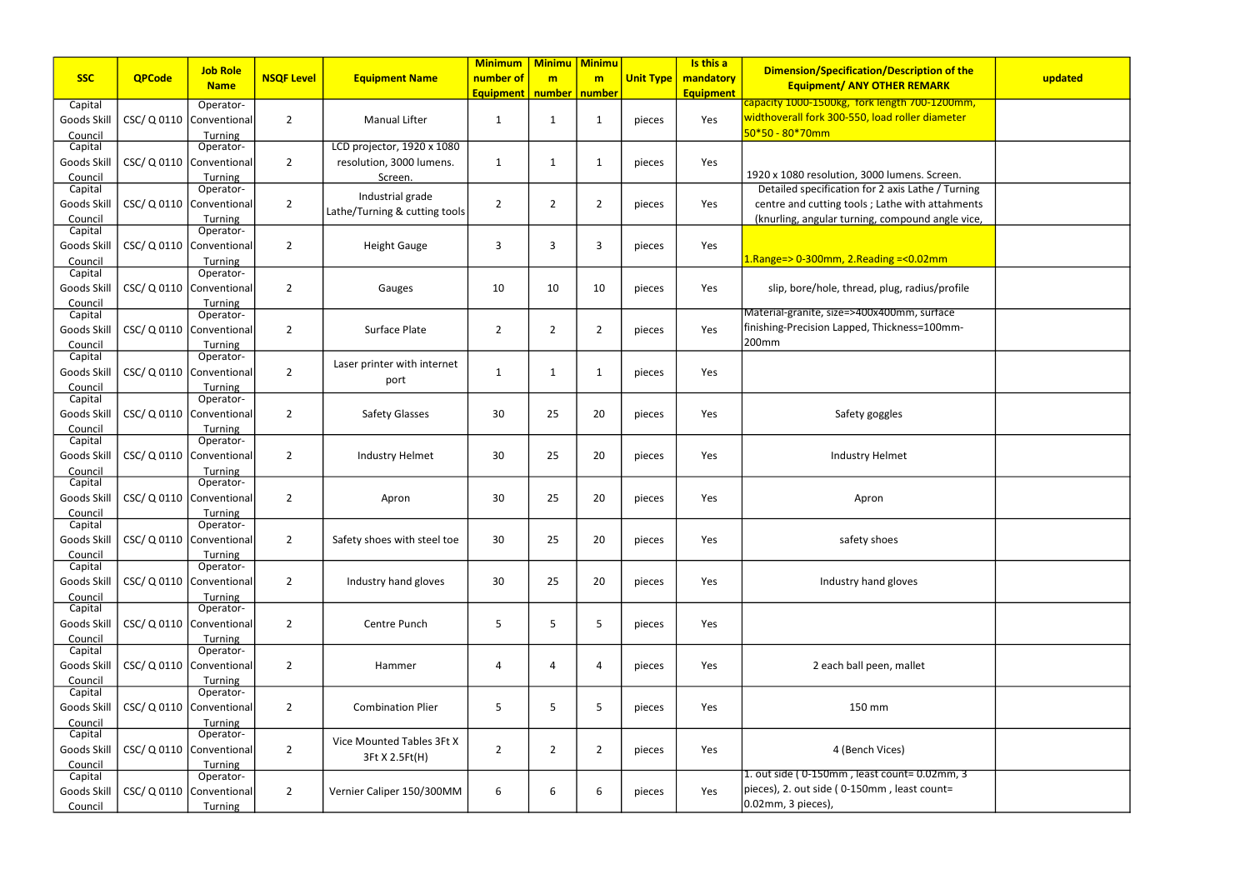|                    |               | <b>Job Role</b>            |                   |                               | <b>Minimum</b>   | <b>Minimu</b>   | <b>Minimu</b>  |                  | Is this a        | <b>Dimension/Specification/Description of the</b> |         |
|--------------------|---------------|----------------------------|-------------------|-------------------------------|------------------|-----------------|----------------|------------------|------------------|---------------------------------------------------|---------|
| <b>SSC</b>         | <b>QPCode</b> | <b>Name</b>                | <b>NSQF Level</b> | <b>Equipment Name</b>         | number of        | m               | m              | <b>Unit Type</b> | mandatory        | <b>Equipment/ ANY OTHER REMARK</b>                | updated |
|                    |               |                            |                   |                               | <b>Equipment</b> | number   number |                |                  | <b>Equipment</b> | capacity 1000-1500kg, fork length 700-1200mm,     |         |
| Capital            |               | Operator-                  |                   |                               |                  |                 |                |                  |                  | widthoverall fork 300-550, load roller diameter   |         |
| Goods Skill        |               | CSC/ Q 0110   Conventional | $\overline{2}$    | <b>Manual Lifter</b>          | 1                | $\mathbf{1}$    | 1              | pieces           | Yes              | $50*50 - 80*70$ mm                                |         |
| Council<br>Capital |               | Turning<br>Operator-       |                   | LCD projector, 1920 x 1080    |                  |                 |                |                  |                  |                                                   |         |
| Goods Skill        |               | CSC/ Q 0110   Conventional | $\overline{2}$    | resolution, 3000 lumens.      | $\mathbf{1}$     | $\mathbf{1}$    | 1              | pieces           | Yes              |                                                   |         |
| Council            |               | Turning                    |                   | Screen.                       |                  |                 |                |                  |                  | 1920 x 1080 resolution, 3000 lumens. Screen.      |         |
| Capital            |               | Operator-                  |                   |                               |                  |                 |                |                  |                  | Detailed specification for 2 axis Lathe / Turning |         |
| Goods Skill        |               | CSC/ Q 0110   Conventional | $\overline{2}$    | Industrial grade              | $\overline{2}$   | $\overline{2}$  | $\overline{2}$ | pieces           | Yes              | centre and cutting tools ; Lathe with attahments  |         |
| Council            |               | Turning                    |                   | Lathe/Turning & cutting tools |                  |                 |                |                  |                  | (knurling, angular turning, compound angle vice,  |         |
| Capital            |               | Operator-                  |                   |                               |                  |                 |                |                  |                  |                                                   |         |
| Goods Skill        |               | CSC/ Q 0110   Conventional | $\overline{2}$    | <b>Height Gauge</b>           | 3                | 3               | 3              | pieces           | Yes              |                                                   |         |
| Council            |               | Turning                    |                   |                               |                  |                 |                |                  |                  | $1.$ Range=> 0-300mm, 2.Reading =< 0.02mm         |         |
| Capital            |               | Operator-                  |                   |                               |                  |                 |                |                  |                  |                                                   |         |
| Goods Skill        |               | CSC/ Q 0110   Conventional | $\overline{2}$    | Gauges                        | 10               | 10              | 10             | pieces           | Yes              | slip, bore/hole, thread, plug, radius/profile     |         |
| Council<br>Capital |               | Turning<br>Operator-       |                   |                               |                  |                 |                |                  |                  | Material-granite, size=>400x400mm, surface        |         |
| Goods Skill        |               | CSC/ Q 0110   Conventional | $\overline{2}$    | Surface Plate                 | $\overline{2}$   | $\overline{2}$  | 2              | pieces           | Yes              | finishing-Precision Lapped, Thickness=100mm-      |         |
| Council            |               | Turning                    |                   |                               |                  |                 |                |                  |                  | 200mm                                             |         |
| Capital            |               | Operator-                  |                   |                               |                  |                 |                |                  |                  |                                                   |         |
| Goods Skill        |               | CSC/ Q 0110   Conventional | $\overline{2}$    | Laser printer with internet   | 1                | $\mathbf 1$     | 1              | pieces           | Yes              |                                                   |         |
| Council            |               | Turning                    |                   | port                          |                  |                 |                |                  |                  |                                                   |         |
| Capital            |               | Operator-                  |                   |                               |                  |                 |                |                  |                  |                                                   |         |
| Goods Skill        |               | CSC/ Q 0110   Conventional | $\overline{2}$    | <b>Safety Glasses</b>         | 30               | 25              | 20             | pieces           | Yes              | Safety goggles                                    |         |
| Council            |               | Turning                    |                   |                               |                  |                 |                |                  |                  |                                                   |         |
| Capital            |               | Operator-                  |                   |                               |                  |                 |                |                  |                  |                                                   |         |
| Goods Skill        |               | CSC/ Q 0110   Conventional | $\overline{2}$    | Industry Helmet               | 30               | 25              | 20             | pieces           | Yes              | Industry Helmet                                   |         |
| Council<br>Capital |               | Turning<br>Operator-       |                   |                               |                  |                 |                |                  |                  |                                                   |         |
| Goods Skill        |               | CSC/ Q 0110   Conventional | $\overline{2}$    | Apron                         | 30               | 25              | 20             | pieces           | Yes              | Apron                                             |         |
| Council            |               | Turning                    |                   |                               |                  |                 |                |                  |                  |                                                   |         |
| Capital            |               | Operator-                  |                   |                               |                  |                 |                |                  |                  |                                                   |         |
| Goods Skill        |               | CSC/ Q 0110   Conventional | $\overline{2}$    | Safety shoes with steel toe   | 30               | 25              | 20             | pieces           | Yes              | safety shoes                                      |         |
| Council            |               | Turning                    |                   |                               |                  |                 |                |                  |                  |                                                   |         |
| Capital            |               | Operator-                  |                   |                               |                  |                 |                |                  |                  |                                                   |         |
| Goods Skill        |               | CSC/ Q 0110   Conventional | $\overline{2}$    | Industry hand gloves          | 30               | 25              | 20             | pieces           | Yes              | Industry hand gloves                              |         |
| Council            |               | Turning                    |                   |                               |                  |                 |                |                  |                  |                                                   |         |
| Capital            |               | Operator-                  |                   |                               |                  |                 |                |                  |                  |                                                   |         |
| Goods Skill        |               | CSC/ Q 0110   Conventional | $\overline{2}$    | Centre Punch                  | 5                | 5               | 5              | pieces           | Yes              |                                                   |         |
| Council<br>Capital |               | Turning<br>Operator-       |                   |                               |                  |                 |                |                  |                  |                                                   |         |
| Goods Skill        |               | CSC/ Q 0110   Conventional | $\overline{2}$    | Hammer                        | 4                | 4               | 4              | pieces           | Yes              | 2 each ball peen, mallet                          |         |
| Council            |               | Turning                    |                   |                               |                  |                 |                |                  |                  |                                                   |         |
| Capital            |               | Operator-                  |                   |                               |                  |                 |                |                  |                  |                                                   |         |
| Goods Skill        |               | CSC/ Q 0110   Conventional | $\overline{2}$    | <b>Combination Plier</b>      | 5                | 5               | 5              | pieces           | Yes              | 150 mm                                            |         |
| Council            |               | Turning                    |                   |                               |                  |                 |                |                  |                  |                                                   |         |
| Capital            |               | Operator-                  |                   | Vice Mounted Tables 3Ft X     |                  |                 |                |                  |                  |                                                   |         |
| Goods Skill        |               | CSC/ Q 0110   Conventional | $\overline{2}$    | 3Ft X 2.5Ft(H)                | $\overline{2}$   | $\overline{2}$  | $\overline{2}$ | pieces           | Yes              | 4 (Bench Vices)                                   |         |
| Council            |               | Turning                    |                   |                               |                  |                 |                |                  |                  | 1. out side (0-150mm, least count=0.02mm, 3       |         |
| Capital            |               | Operator-                  |                   |                               |                  |                 |                |                  |                  | pieces), 2. out side (0-150mm, least count=       |         |
| Goods Skill        |               | CSC/ Q 0110   Conventional | $\overline{2}$    | Vernier Caliper 150/300MM     | 6                | 6               | 6              | pieces           | Yes              |                                                   |         |
| Council            |               | Turning                    |                   |                               |                  |                 |                |                  |                  | 0.02mm, 3 pieces),                                |         |

| cation/Description of the<br><b><u> ANY OTHER REMARK</u></b>                              | updated |
|-------------------------------------------------------------------------------------------|---------|
| <b>Tork length 700-1200mm,</b><br>550, load roller diameter                               |         |
| n, 3000 lumens. Screen.                                                                   |         |
| on for 2 axis Lathe / Turning<br>ols; Lathe with attahments<br>ming, compound angle vice, |         |
| Reading =<0.02mm.                                                                         |         |
| read, plug, radius/profile                                                                |         |
| >400x400mm, surface<br>oed, Thickness=100mm-                                              |         |
|                                                                                           |         |
| ety goggles                                                                               |         |
| stry Helmet                                                                               |         |
| Apron                                                                                     |         |
| fety shoes                                                                                |         |
| y hand gloves                                                                             |         |
|                                                                                           |         |
| all peen, mallet                                                                          |         |
| 150 mm                                                                                    |         |
| ench Vices)                                                                               |         |
| , least count= 0.02mm, 3<br>150mm, least count=                                           |         |